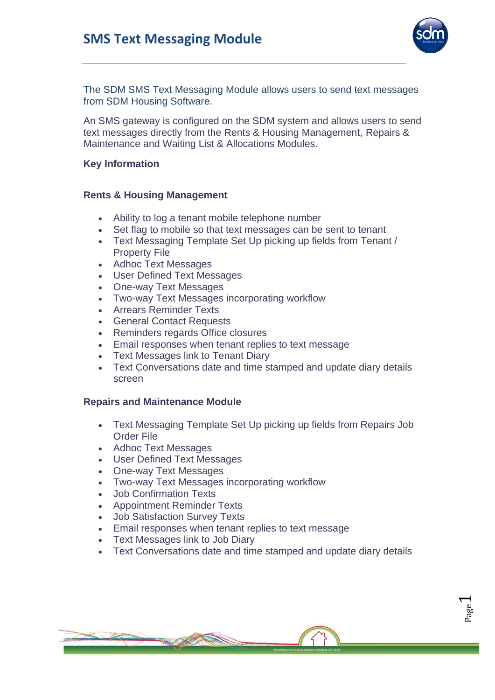

Page  $\overline{\phantom{0}}$ 

The SDM SMS Text Messaging Module allows users to send text messages from SDM Housing Software.

An SMS gateway is configured on the SDM system and allows users to send text messages directly from the Rents & Housing Management, Repairs & Maintenance and Waiting List & Allocations Modules.

### **Key Information**

### **Rents & Housing Management**

- Ability to log a tenant mobile telephone number
- Set flag to mobile so that text messages can be sent to tenant
- Text Messaging Template Set Up picking up fields from Tenant / Property File
- Adhoc Text Messages
- User Defined Text Messages
- One-way Text Messages
- Two-way Text Messages incorporating workflow
- Arrears Reminder Texts
- General Contact Requests
- Reminders regards Office closures
- Email responses when tenant replies to text message
- **Text Messages link to Tenant Diary**
- Text Conversations date and time stamped and update diary details screen

#### **Repairs and Maintenance Module**

- Text Messaging Template Set Up picking up fields from Repairs Job Order File
- Adhoc Text Messages
- User Defined Text Messages
- One-way Text Messages
- Two-way Text Messages incorporating workflow
- Job Confirmation Texts
- Appointment Reminder Texts
- Job Satisfaction Survey Texts
- Email responses when tenant replies to text message
- Text Messages link to Job Diary
- Text Conversations date and time stamped and update diary details